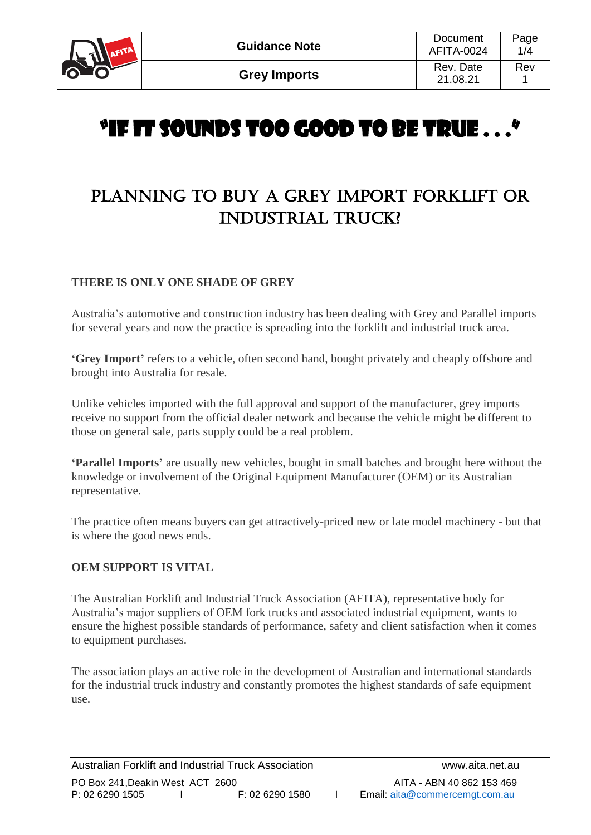

# "IF IT SOUNDS TOO GOOD TO BE TRUE . . ."

# PLANNING TO BUY A GREY IMPORT FORKLIFT OR INDUSTRIAL TRUCK?

#### **THERE IS ONLY ONE SHADE OF GREY**

Australia's automotive and construction industry has been dealing with Grey and Parallel imports for several years and now the practice is spreading into the forklift and industrial truck area.

**'Grey Import'** refers to a vehicle, often second hand, bought privately and cheaply offshore and brought into Australia for resale.

Unlike vehicles imported with the full approval and support of the manufacturer, grey imports receive no support from the official dealer network and because the vehicle might be different to those on general sale, parts supply could be a real problem.

**'Parallel Imports'** are usually new vehicles, bought in small batches and brought here without the knowledge or involvement of the Original Equipment Manufacturer (OEM) or its Australian representative.

The practice often means buyers can get attractively-priced new or late model machinery - but that is where the good news ends.

#### **OEM SUPPORT IS VITAL**

The Australian Forklift and Industrial Truck Association (AFITA), representative body for Australia's major suppliers of OEM fork trucks and associated industrial equipment, wants to ensure the highest possible standards of performance, safety and client satisfaction when it comes to equipment purchases.

The association plays an active role in the development of Australian and international standards for the industrial truck industry and constantly promotes the highest standards of safe equipment use.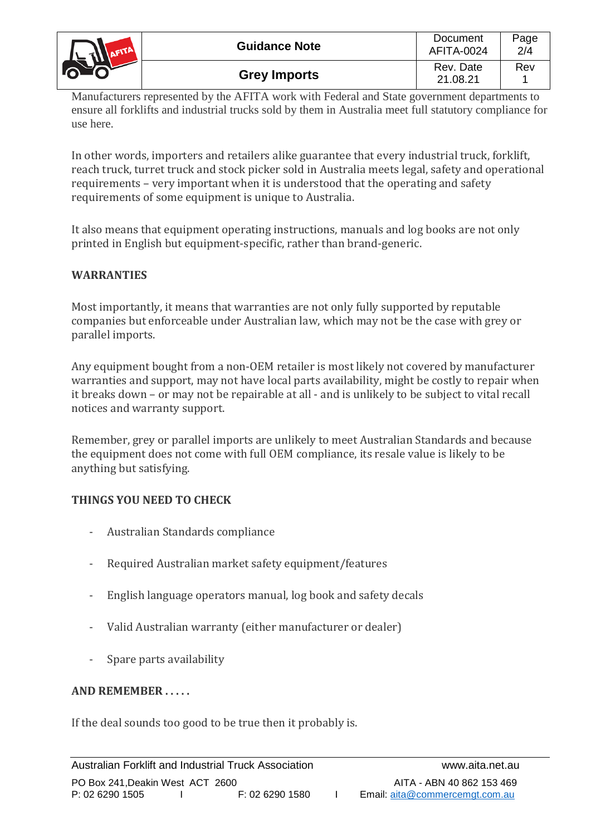

Manufacturers represented by the AFITA work with Federal and State government departments to ensure all forklifts and industrial trucks sold by them in Australia meet full statutory compliance for use here.

In other words, importers and retailers alike guarantee that every industrial truck, forklift, reach truck, turret truck and stock picker sold in Australia meets legal, safety and operational requirements – very important when it is understood that the operating and safety requirements of some equipment is unique to Australia.

It also means that equipment operating instructions, manuals and log books are not only printed in English but equipment-specific, rather than brand-generic.

# **WARRANTIES**

Most importantly, it means that warranties are not only fully supported by reputable companies but enforceable under Australian law, which may not be the case with grey or parallel imports.

Any equipment bought from a non-OEM retailer is most likely not covered by manufacturer warranties and support, may not have local parts availability, might be costly to repair when it breaks down – or may not be repairable at all - and is unlikely to be subject to vital recall notices and warranty support.

Remember, grey or parallel imports are unlikely to meet Australian Standards and because the equipment does not come with full OEM compliance, its resale value is likely to be anything but satisfying.

# **THINGS YOU NEED TO CHECK**

- Australian Standards compliance
- Required Australian market safety equipment/features
- English language operators manual, log book and safety decals
- Valid Australian warranty (either manufacturer or dealer)
- Spare parts availability

# **AND REMEMBER . . . . .**

If the deal sounds too good to be true then it probably is.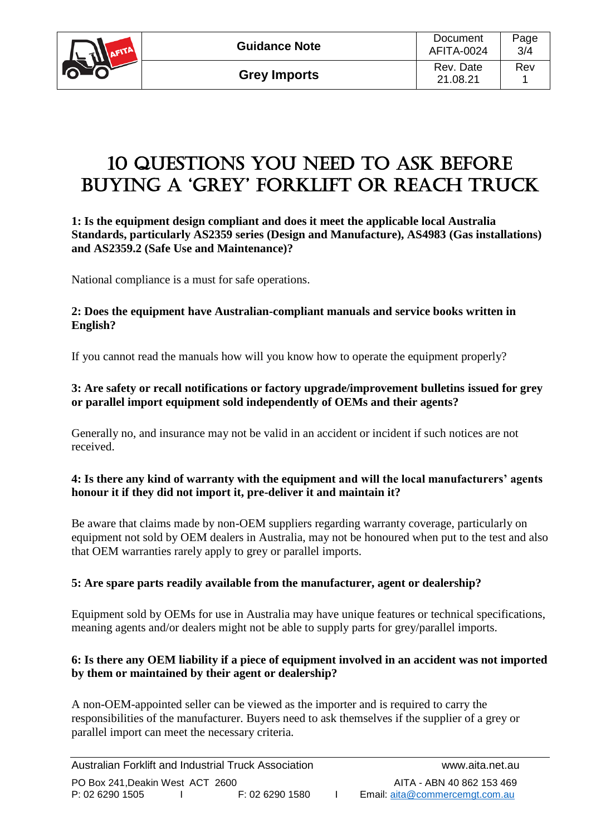

# 10 QUESTIONs YOU NEED TO ASK BEFORE BUYING A 'GREY' FORKLIFT OR REACH TRUCK

#### **1: Is the equipment design compliant and does it meet the applicable local Australia Standards, particularly AS2359 series (Design and Manufacture), AS4983 (Gas installations) and AS2359.2 (Safe Use and Maintenance)?**

National compliance is a must for safe operations.

#### **2: Does the equipment have Australian-compliant manuals and service books written in English?**

If you cannot read the manuals how will you know how to operate the equipment properly?

### **3: Are safety or recall notifications or factory upgrade/improvement bulletins issued for grey or parallel import equipment sold independently of OEMs and their agents?**

Generally no, and insurance may not be valid in an accident or incident if such notices are not received.

#### **4: Is there any kind of warranty with the equipment and will the local manufacturers' agents honour it if they did not import it, pre-deliver it and maintain it?**

Be aware that claims made by non-OEM suppliers regarding warranty coverage, particularly on equipment not sold by OEM dealers in Australia, may not be honoured when put to the test and also that OEM warranties rarely apply to grey or parallel imports.

# **5: Are spare parts readily available from the manufacturer, agent or dealership?**

Equipment sold by OEMs for use in Australia may have unique features or technical specifications, meaning agents and/or dealers might not be able to supply parts for grey/parallel imports.

#### **6: Is there any OEM liability if a piece of equipment involved in an accident was not imported by them or maintained by their agent or dealership?**

A non-OEM-appointed seller can be viewed as the importer and is required to carry the responsibilities of the manufacturer. Buyers need to ask themselves if the supplier of a grey or parallel import can meet the necessary criteria.